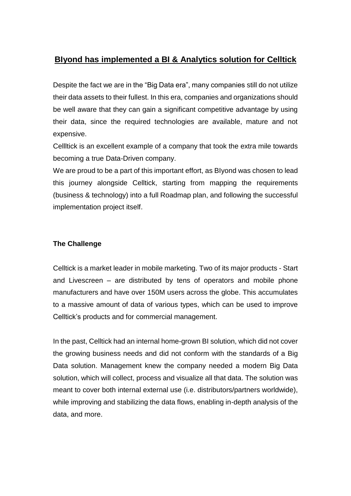## **BIyond has implemented a BI & Analytics solution for Celltick**

Despite the fact we are in the "Big Data era", many companies still do not utilize their data assets to their fullest. In this era, companies and organizations should be well aware that they can gain a significant competitive advantage by using their data, since the required technologies are available, mature and not expensive.

Cellltick is an excellent example of a company that took the extra mile towards becoming a true Data-Driven company.

We are proud to be a part of this important effort, as BIyond was chosen to lead this journey alongside Celltick, starting from mapping the requirements (business & technology) into a full Roadmap plan, and following the successful implementation project itself.

## **The Challenge**

Celltick is a market leader in mobile marketing. Two of its major products - Start and Livescreen – are distributed by tens of operators and mobile phone manufacturers and have over 150M users across the globe. This accumulates to a massive amount of data of various types, which can be used to improve Celltick's products and for commercial management.

In the past, Celltick had an internal home-grown BI solution, which did not cover the growing business needs and did not conform with the standards of a Big Data solution. Management knew the company needed a modern Big Data solution, which will collect, process and visualize all that data. The solution was meant to cover both internal external use (i.e. distributors/partners worldwide), while improving and stabilizing the data flows, enabling in-depth analysis of the data, and more.